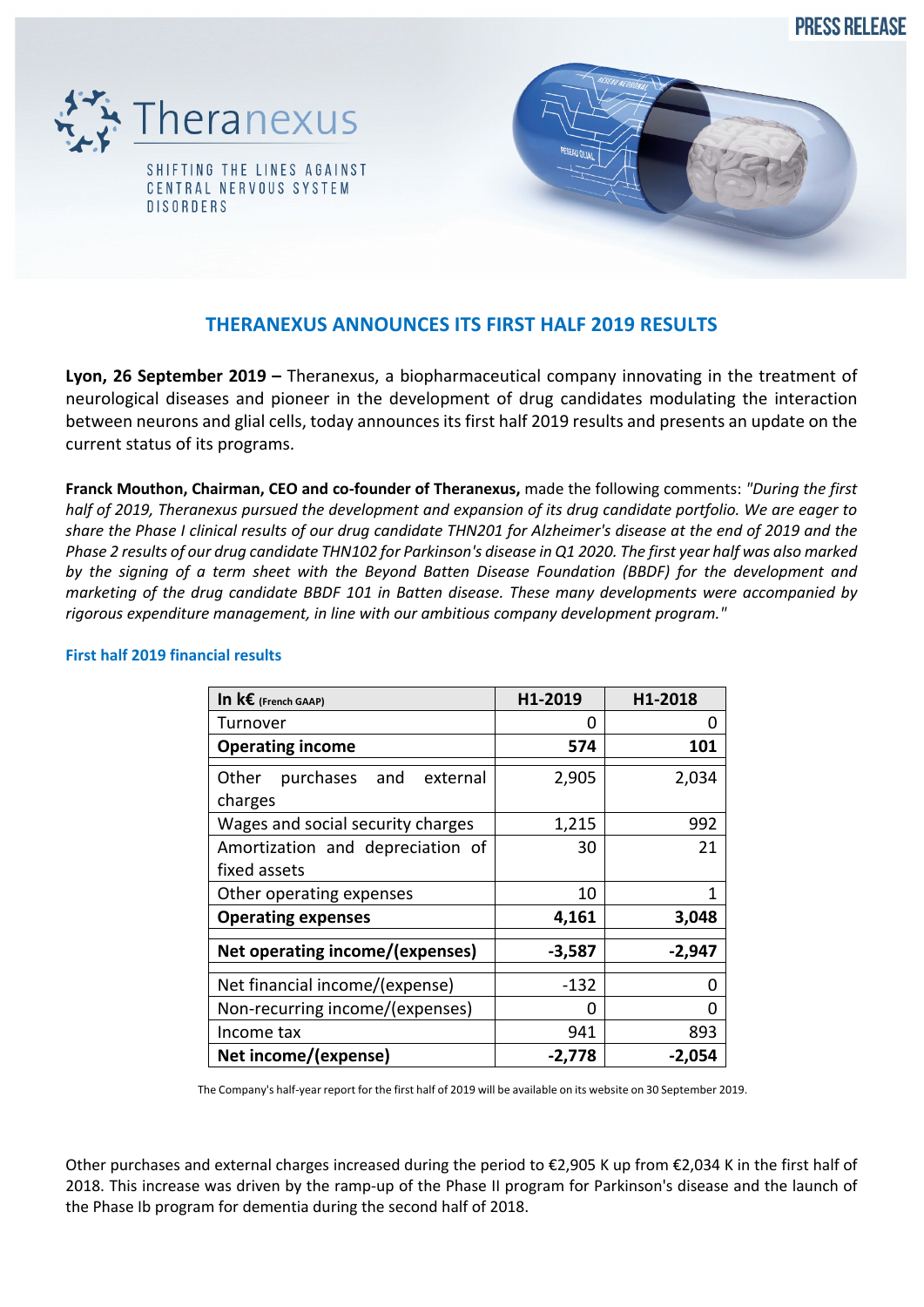**PRESS RELEASE** 





# **THERANEXUS ANNOUNCES ITS FIRST HALF 2019 RESULTS**

**Lyon, 26 September 2019 –** Theranexus, a biopharmaceutical company innovating in the treatment of neurological diseases and pioneer in the development of drug candidates modulating the interaction between neurons and glial cells, today announces its first half 2019 results and presents an update on the current status of its programs.

**Franck Mouthon, Chairman, CEO and co-founder of Theranexus,** made the following comments: *"During the first half of 2019, Theranexus pursued the development and expansion of its drug candidate portfolio. We are eager to share the Phase I clinical results of our drug candidate THN201 for Alzheimer's disease at the end of 2019 and the Phase 2 results of our drug candidate THN102 for Parkinson's disease in Q1 2020. The first year half was also marked by the signing of a term sheet with the Beyond Batten Disease Foundation (BBDF) for the development and marketing of the drug candidate BBDF 101 in Batten disease. These many developments were accompanied by rigorous expenditure management, in line with our ambitious company development program."* 

| In $k\boldsymbol{\epsilon}$ (French GAAP)  | H1-2019  | H1-2018  |
|--------------------------------------------|----------|----------|
| Turnover                                   | 0        |          |
| <b>Operating income</b>                    | 574      | 101      |
| purchases and external<br>Other<br>charges | 2,905    | 2,034    |
| Wages and social security charges          | 1,215    | 992      |
| Amortization and depreciation of           | 30       | 21       |
| fixed assets                               |          |          |
| Other operating expenses                   | 10       | 1        |
| <b>Operating expenses</b>                  | 4,161    | 3,048    |
| Net operating income/(expenses)            | $-3,587$ | $-2,947$ |
| Net financial income/(expense)             | -132     |          |
| Non-recurring income/(expenses)            | O        |          |
| Income tax                                 | 941      | 893      |
| Net income/(expense)                       | $-2,778$ | -2,054   |

#### **First half 2019 financial results**

The Company's half-year report for the first half of 2019 will be available on its website on 30 September 2019.

Other purchases and external charges increased during the period to €2,905 K up from €2,034 K in the first half of 2018. This increase was driven by the ramp-up of the Phase II program for Parkinson's disease and the launch of the Phase Ib program for dementia during the second half of 2018.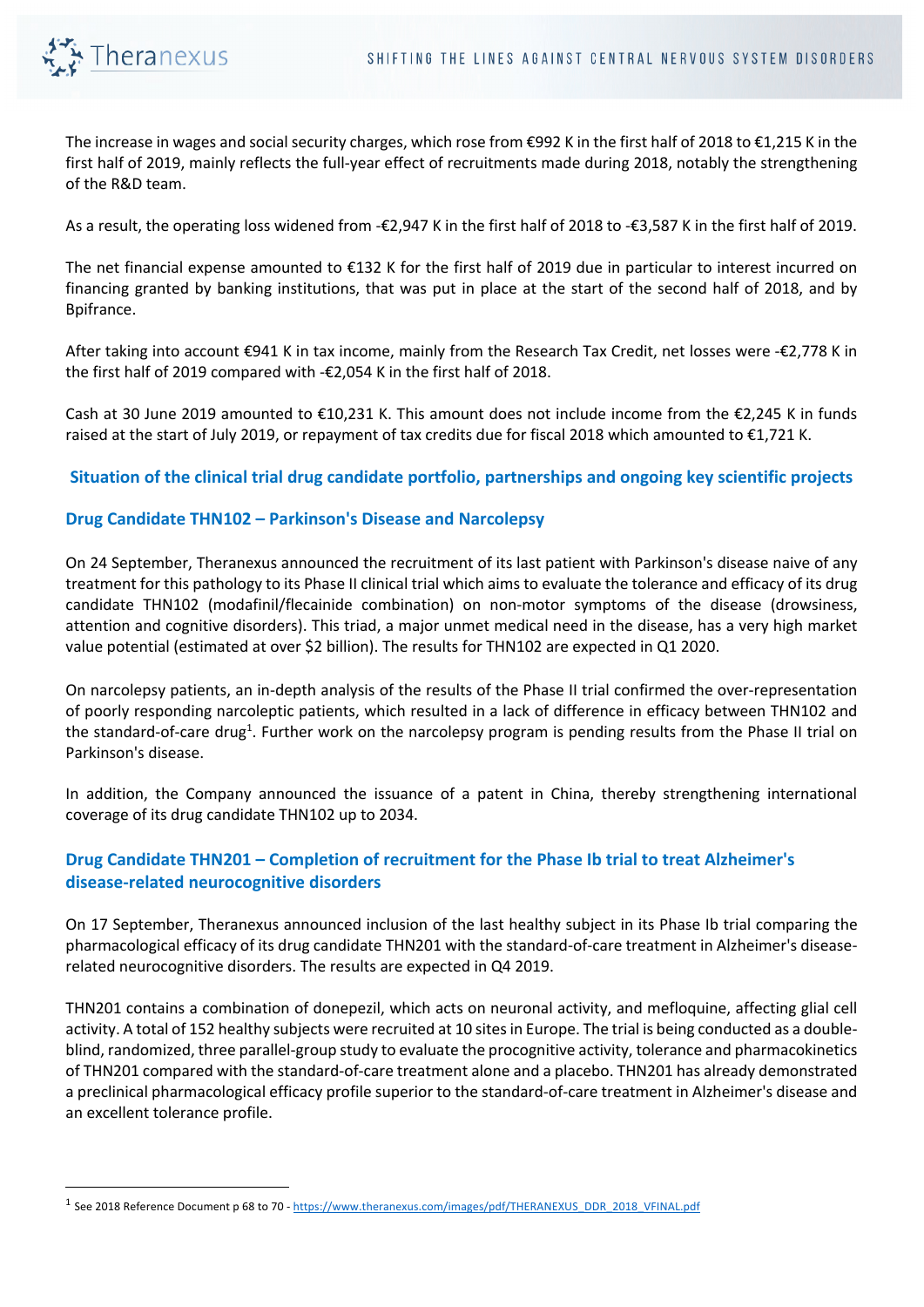

The increase in wages and social security charges, which rose from €992 K in the first half of 2018 to €1,215 K in the first half of 2019, mainly reflects the full-year effect of recruitments made during 2018, notably the strengthening of the R&D team.

As a result, the operating loss widened from -€2,947 K in the first half of 2018 to -€3,587 K in the first half of 2019.

The net financial expense amounted to €132 K for the first half of 2019 due in particular to interest incurred on financing granted by banking institutions, that was put in place at the start of the second half of 2018, and by Bpifrance.

After taking into account €941 K in tax income, mainly from the Research Tax Credit, net losses were -€2,778 K in the first half of 2019 compared with -€2,054 K in the first half of 2018.

Cash at 30 June 2019 amounted to  $\epsilon$ 10,231 K. This amount does not include income from the  $\epsilon$ 2,245 K in funds raised at the start of July 2019, or repayment of tax credits due for fiscal 2018 which amounted to €1,721 K.

## **Situation of the clinical trial drug candidate portfolio, partnerships and ongoing key scientific projects**

### **Drug Candidate THN102 – Parkinson's Disease and Narcolepsy**

On 24 September, Theranexus announced the recruitment of its last patient with Parkinson's disease naive of any treatment for this pathology to its Phase II clinical trial which aims to evaluate the tolerance and efficacy of its drug candidate THN102 (modafinil/flecainide combination) on non-motor symptoms of the disease (drowsiness, attention and cognitive disorders). This triad, a major unmet medical need in the disease, has a very high market value potential (estimated at over \$2 billion). The results for THN102 are expected in Q1 2020.

On narcolepsy patients, an in-depth analysis of the results of the Phase II trial confirmed the over-representation of poorly responding narcoleptic patients, which resulted in a lack of difference in efficacy between THN102 and the standard-of-care drug<sup>1</sup>. Further work on the narcolepsy program is pending results from the Phase II trial on Parkinson's disease.

In addition, the Company announced the issuance of a patent in China, thereby strengthening international coverage of its drug candidate THN102 up to 2034.

## **Drug Candidate THN201 – Completion of recruitment for the Phase Ib trial to treat Alzheimer's disease-related neurocognitive disorders**

On 17 September, Theranexus announced inclusion of the last healthy subject in its Phase Ib trial comparing the pharmacological efficacy of its drug candidate THN201 with the standard-of-care treatment in Alzheimer's diseaserelated neurocognitive disorders. The results are expected in Q4 2019.

THN201 contains a combination of donepezil, which acts on neuronal activity, and mefloquine, affecting glial cell activity. A total of 152 healthy subjects were recruited at 10 sites in Europe. The trial is being conducted as a doubleblind, randomized, three parallel-group study to evaluate the procognitive activity, tolerance and pharmacokinetics of THN201 compared with the standard-of-care treatment alone and a placebo. THN201 has already demonstrated a preclinical pharmacological efficacy profile superior to the standard-of-care treatment in Alzheimer's disease and an excellent tolerance profile.

<sup>&</sup>lt;sup>1</sup> See 2018 Reference Document p 68 to 70 - https://www.theranexus.com/images/pdf/THERANEXUS\_DDR\_2018\_VFINAL.pdf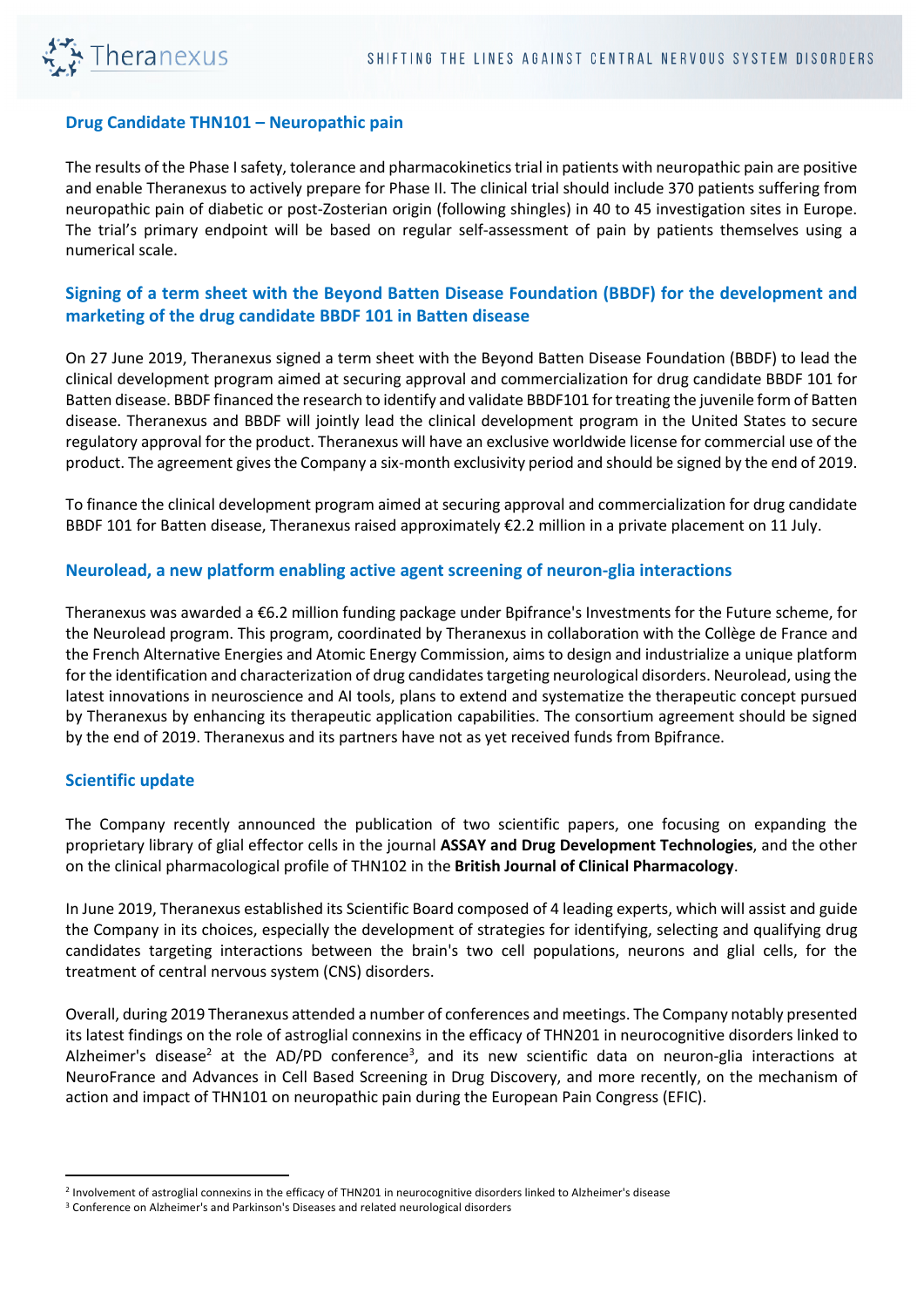

### **Drug Candidate THN101 – Neuropathic pain**

The results of the Phase I safety, tolerance and pharmacokinetics trial in patients with neuropathic pain are positive and enable Theranexus to actively prepare for Phase II. The clinical trial should include 370 patients suffering from neuropathic pain of diabetic or post-Zosterian origin (following shingles) in 40 to 45 investigation sites in Europe. The trial's primary endpoint will be based on regular self-assessment of pain by patients themselves using a numerical scale.

## **Signing of a term sheet with the Beyond Batten Disease Foundation (BBDF) for the development and marketing of the drug candidate BBDF 101 in Batten disease**

On 27 June 2019, Theranexus signed a term sheet with the Beyond Batten Disease Foundation (BBDF) to lead the clinical development program aimed at securing approval and commercialization for drug candidate BBDF 101 for Batten disease. BBDF financed the research to identify and validate BBDF101 for treating the juvenile form of Batten disease. Theranexus and BBDF will jointly lead the clinical development program in the United States to secure regulatory approval for the product. Theranexus will have an exclusive worldwide license for commercial use of the product. The agreement gives the Company a six-month exclusivity period and should be signed by the end of 2019.

To finance the clinical development program aimed at securing approval and commercialization for drug candidate BBDF 101 for Batten disease, Theranexus raised approximately €2.2 million in a private placement on 11 July.

### **Neurolead, a new platform enabling active agent screening of neuron-glia interactions**

Theranexus was awarded a €6.2 million funding package under Bpifrance's Investments for the Future scheme, for the Neurolead program. This program, coordinated by Theranexus in collaboration with the Collège de France and the French Alternative Energies and Atomic Energy Commission, aims to design and industrialize a unique platform for the identification and characterization of drug candidates targeting neurological disorders. Neurolead, using the latest innovations in neuroscience and AI tools, plans to extend and systematize the therapeutic concept pursued by Theranexus by enhancing its therapeutic application capabilities. The consortium agreement should be signed by the end of 2019. Theranexus and its partners have not as yet received funds from Bpifrance.

## **Scientific update**

The Company recently announced the publication of two scientific papers, one focusing on expanding the proprietary library of glial effector cells in the journal **ASSAY and Drug Development Technologies**, and the other on the clinical pharmacological profile of THN102 in the **British Journal of Clinical Pharmacology**.

In June 2019, Theranexus established its Scientific Board composed of 4 leading experts, which will assist and guide the Company in its choices, especially the development of strategies for identifying, selecting and qualifying drug candidates targeting interactions between the brain's two cell populations, neurons and glial cells, for the treatment of central nervous system (CNS) disorders.

Overall, during 2019 Theranexus attended a number of conferences and meetings. The Company notably presented its latest findings on the role of astroglial connexins in the efficacy of THN201 in neurocognitive disorders linked to Alzheimer's disease<sup>2</sup> at the AD/PD conference<sup>3</sup>, and its new scientific data on neuron-glia interactions at NeuroFrance and Advances in Cell Based Screening in Drug Discovery, and more recently, on the mechanism of action and impact of THN101 on neuropathic pain during the European Pain Congress (EFIC).

<sup>2</sup> Involvement of astroglial connexins in the efficacy of THN201 in neurocognitive disorders linked to Alzheimer's disease

<sup>&</sup>lt;sup>3</sup> Conference on Alzheimer's and Parkinson's Diseases and related neurological disorders